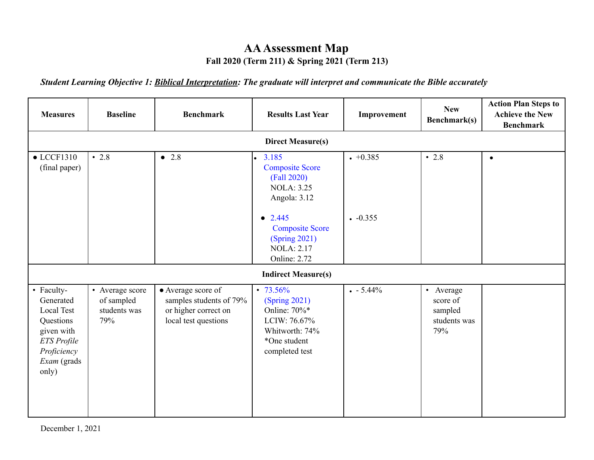## **AAAssessment Map Fall 2020 (Term 211) & Spring 2021 (Term 213)**

*Student Learning Objective 1: Biblical Interpretation: The graduate will interpret and communicate the Bible accurately*

| <b>Measures</b>                                                                                                               | <b>Baseline</b>                                      | <b>Benchmark</b>                                                                              | <b>Results Last Year</b>                                                                                            | Improvement | <b>New</b><br><b>Benchmark(s)</b>                       | <b>Action Plan Steps to</b><br><b>Achieve the New</b><br><b>Benchmark</b> |  |  |  |
|-------------------------------------------------------------------------------------------------------------------------------|------------------------------------------------------|-----------------------------------------------------------------------------------------------|---------------------------------------------------------------------------------------------------------------------|-------------|---------------------------------------------------------|---------------------------------------------------------------------------|--|--|--|
|                                                                                                                               | <b>Direct Measure(s)</b>                             |                                                                                               |                                                                                                                     |             |                                                         |                                                                           |  |  |  |
| $\bullet$ LCCF1310<br>(final paper)                                                                                           | $\cdot$ 2.8                                          | • 2.8                                                                                         | 3.185<br>$\bullet$<br><b>Composite Score</b><br>(Fall 2020)<br><b>NOLA: 3.25</b><br>Angola: 3.12                    | $+0.385$    | $\cdot$ 2.8                                             | $\bullet$                                                                 |  |  |  |
|                                                                                                                               |                                                      |                                                                                               | $\bullet$ 2.445<br><b>Composite Score</b><br>(Spring 2021)<br><b>NOLA: 2.17</b><br><b>Online: 2.72</b>              | $-0.355$    |                                                         |                                                                           |  |  |  |
|                                                                                                                               |                                                      |                                                                                               | <b>Indirect Measure(s)</b>                                                                                          |             |                                                         |                                                                           |  |  |  |
| • Faculty-<br>Generated<br><b>Local Test</b><br>Questions<br>given with<br>ETS Profile<br>Proficiency<br>Exam (grads<br>only) | • Average score<br>of sampled<br>students was<br>79% | • Average score of<br>samples students of 79%<br>or higher correct on<br>local test questions | $\cdot$ 73.56%<br>(Spring 2021)<br>Online: 70%*<br>LCIW: 76.67%<br>Whitworth: 74%<br>*One student<br>completed test | $-5.44\%$   | • Average<br>score of<br>sampled<br>students was<br>79% |                                                                           |  |  |  |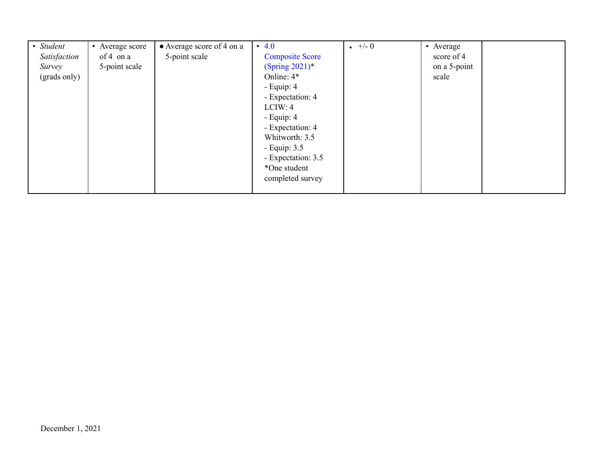| • Student    | • Average score | • Average score of 4 on a | • $4.0$                | $+/- 0$ | • Average    |
|--------------|-----------------|---------------------------|------------------------|---------|--------------|
| Satisfaction | of 4 on $a$     | 5-point scale             | <b>Composite Score</b> |         | score of 4   |
| Survey       | 5-point scale   |                           | (Spring $2021$ )*      |         | on a 5-point |
| (grads only) |                 |                           | Online: 4*             |         | scale        |
|              |                 |                           | - Equip: $4$           |         |              |
|              |                 |                           | - Expectation: 4       |         |              |
|              |                 |                           | LCIW: 4                |         |              |
|              |                 |                           | - Equip: $4$           |         |              |
|              |                 |                           | - Expectation: 4       |         |              |
|              |                 |                           | Whitworth: 3.5         |         |              |
|              |                 |                           | - Equip: $3.5$         |         |              |
|              |                 |                           | - Expectation: 3.5     |         |              |
|              |                 |                           | *One student           |         |              |
|              |                 |                           | completed survey       |         |              |
|              |                 |                           |                        |         |              |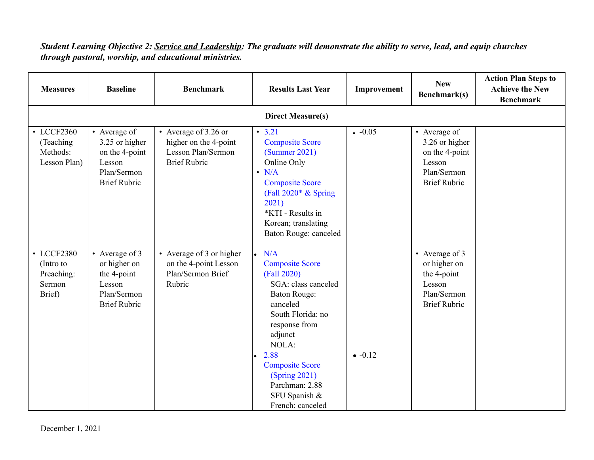## *Student Learning Objective 2: Service and Leadership: The graduate will demonstrate the ability to serve, lead, and equip churches through pastoral, worship, and educational ministries.*

| <b>Measures</b>                                           | <b>Baseline</b>                                                                                  | <b>Benchmark</b>                                                                           | <b>Results Last Year</b>                                                                                                                                                                                                                                            | Improvement | <b>New</b><br>Benchmark(s)                                                                       | <b>Action Plan Steps to</b><br><b>Achieve the New</b><br><b>Benchmark</b> |  |  |
|-----------------------------------------------------------|--------------------------------------------------------------------------------------------------|--------------------------------------------------------------------------------------------|---------------------------------------------------------------------------------------------------------------------------------------------------------------------------------------------------------------------------------------------------------------------|-------------|--------------------------------------------------------------------------------------------------|---------------------------------------------------------------------------|--|--|
| <b>Direct Measure(s)</b>                                  |                                                                                                  |                                                                                            |                                                                                                                                                                                                                                                                     |             |                                                                                                  |                                                                           |  |  |
| • LCCF2360<br>(Teaching)<br>Methods:<br>Lesson Plan)      | • Average of<br>3.25 or higher<br>on the 4-point<br>Lesson<br>Plan/Sermon<br><b>Brief Rubric</b> | • Average of 3.26 or<br>higher on the 4-point<br>Lesson Plan/Sermon<br><b>Brief Rubric</b> | $\cdot$ 3.21<br><b>Composite Score</b><br>(Summer 2021)<br>Online Only<br>$\cdot$ N/A<br><b>Composite Score</b><br>(Fall $2020*$ & Spring<br>2021)<br>*KTI - Results in<br>Korean; translating<br>Baton Rouge: canceled                                             | $-0.05$     | • Average of<br>3.26 or higher<br>on the 4-point<br>Lesson<br>Plan/Sermon<br><b>Brief Rubric</b> |                                                                           |  |  |
| • LCCF2380<br>(Intro to<br>Preaching:<br>Sermon<br>Brief) | • Average of 3<br>or higher on<br>the 4-point<br>Lesson<br>Plan/Sermon<br><b>Brief Rubric</b>    | • Average of 3 or higher<br>on the 4-point Lesson<br>Plan/Sermon Brief<br>Rubric           | N/A<br><b>Composite Score</b><br>(Fall 2020)<br>SGA: class canceled<br>Baton Rouge:<br>canceled<br>South Florida: no<br>response from<br>adjunct<br>NOLA:<br>2.88<br><b>Composite Score</b><br>(Spring 2021)<br>Parchman: 2.88<br>SFU Spanish &<br>French: canceled | $-0.12$     | • Average of 3<br>or higher on<br>the 4-point<br>Lesson<br>Plan/Sermon<br><b>Brief Rubric</b>    |                                                                           |  |  |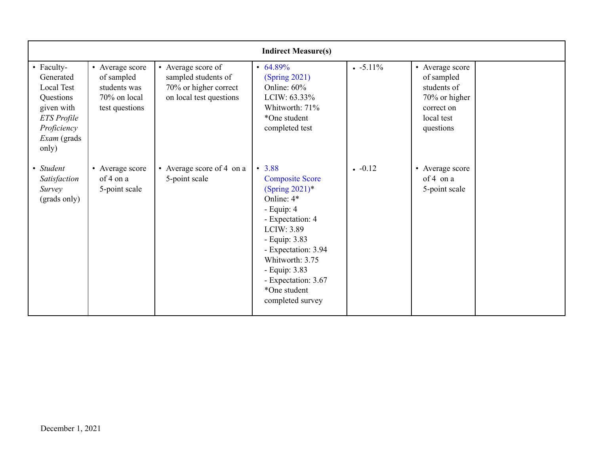| <b>Indirect Measure(s)</b>                                                                                                           |                                                                                 |                                                                                               |                                                                                                                                                                                                                                                              |           |                                                                                                        |  |  |  |
|--------------------------------------------------------------------------------------------------------------------------------------|---------------------------------------------------------------------------------|-----------------------------------------------------------------------------------------------|--------------------------------------------------------------------------------------------------------------------------------------------------------------------------------------------------------------------------------------------------------------|-----------|--------------------------------------------------------------------------------------------------------|--|--|--|
| • Faculty-<br>Generated<br><b>Local Test</b><br>Questions<br>given with<br>ETS Profile<br>Proficiency<br><i>Exam</i> (grads<br>only) | • Average score<br>of sampled<br>students was<br>70% on local<br>test questions | • Average score of<br>sampled students of<br>70% or higher correct<br>on local test questions | $\cdot\ 64.89\%$<br>(Spring 2021)<br>Online: 60%<br>LCIW: 63.33%<br>Whitworth: 71%<br>*One student<br>completed test                                                                                                                                         | $-5.11\%$ | • Average score<br>of sampled<br>students of<br>70% or higher<br>correct on<br>local test<br>questions |  |  |  |
| • Student<br>Satisfaction<br>Survey<br>(grads only)                                                                                  | • Average score<br>of 4 on a<br>5-point scale                                   | • Average score of 4 on a<br>5-point scale                                                    | • 3.88<br><b>Composite Score</b><br>(Spring $2021$ )*<br>Online: 4*<br>- Equip: $4$<br>- Expectation: 4<br>LCIW: 3.89<br>- Equip: 3.83<br>- Expectation: 3.94<br>Whitworth: 3.75<br>- Equip: 3.83<br>- Expectation: 3.67<br>*One student<br>completed survey | $-0.12$   | • Average score<br>of 4 on a<br>5-point scale                                                          |  |  |  |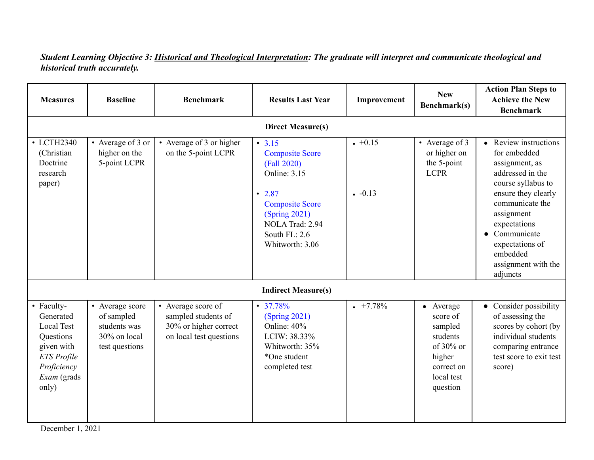*Student Learning Objective 3: Historical and Theological Interpretation: The graduate will interpret and communicate theological and historical truth accurately.*

| <b>Measures</b>                                                                                                                      | <b>Baseline</b>                                                                 | <b>Benchmark</b>                                                                              | <b>Results Last Year</b>                                                                                                                                                                       | Improvement        | <b>New</b><br>Benchmark(s)                                                                                  | <b>Action Plan Steps to</b><br><b>Achieve the New</b><br><b>Benchmark</b>                                                                                                                                                                                            |
|--------------------------------------------------------------------------------------------------------------------------------------|---------------------------------------------------------------------------------|-----------------------------------------------------------------------------------------------|------------------------------------------------------------------------------------------------------------------------------------------------------------------------------------------------|--------------------|-------------------------------------------------------------------------------------------------------------|----------------------------------------------------------------------------------------------------------------------------------------------------------------------------------------------------------------------------------------------------------------------|
|                                                                                                                                      |                                                                                 |                                                                                               | <b>Direct Measure(s)</b>                                                                                                                                                                       |                    |                                                                                                             |                                                                                                                                                                                                                                                                      |
| • LCTH2340<br>(Christian<br>Doctrine<br>research<br>paper)                                                                           | • Average of 3 or<br>higher on the<br>5-point LCPR                              | • Average of 3 or higher<br>on the 5-point LCPR                                               | $\cdot$ 3.15<br><b>Composite Score</b><br>(Fall 2020)<br><b>Online: 3.15</b><br>$\cdot$ 2.87<br><b>Composite Score</b><br>(Spring 2021)<br>NOLA Trad: 2.94<br>South FL: 2.6<br>Whitworth: 3.06 | $+0.15$<br>$-0.13$ | • Average of 3<br>or higher on<br>the 5-point<br><b>LCPR</b>                                                | • Review instructions<br>for embedded<br>assignment, as<br>addressed in the<br>course syllabus to<br>ensure they clearly<br>communicate the<br>assignment<br>expectations<br>$\bullet$ Communicate<br>expectations of<br>embedded<br>assignment with the<br>adjuncts |
|                                                                                                                                      |                                                                                 |                                                                                               | <b>Indirect Measure(s)</b>                                                                                                                                                                     |                    |                                                                                                             |                                                                                                                                                                                                                                                                      |
| • Faculty-<br>Generated<br><b>Local Test</b><br>Questions<br>given with<br><b>ETS</b> Profile<br>Proficiency<br>Exam (grads<br>only) | • Average score<br>of sampled<br>students was<br>30% on local<br>test questions | • Average score of<br>sampled students of<br>30% or higher correct<br>on local test questions | $\cdot$ 37.78%<br>(Spring 2021)<br>Online: 40%<br>LCIW: 38.33%<br>Whitworth: 35%<br>*One student<br>completed test                                                                             | $+7.78%$           | • Average<br>score of<br>sampled<br>students<br>of 30% or<br>higher<br>correct on<br>local test<br>question | • Consider possibility<br>of assessing the<br>scores by cohort (by<br>individual students<br>comparing entrance<br>test score to exit test<br>score)                                                                                                                 |

December 1, 2021